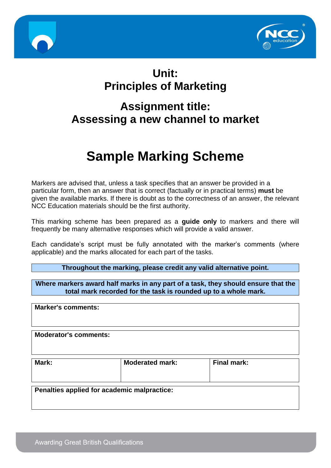



## **Unit: Principles of Marketing**

## **Assignment title: Assessing a new channel to market**

# **Sample Marking Scheme**

Markers are advised that, unless a task specifies that an answer be provided in a particular form, then an answer that is correct (factually or in practical terms) **must** be given the available marks. If there is doubt as to the correctness of an answer, the relevant NCC Education materials should be the first authority.

This marking scheme has been prepared as a **guide only** to markers and there will frequently be many alternative responses which will provide a valid answer.

Each candidate's script must be fully annotated with the marker's comments (where applicable) and the marks allocated for each part of the tasks.

**Throughout the marking, please credit any valid alternative point.**

**Where markers award half marks in any part of a task, they should ensure that the total mark recorded for the task is rounded up to a whole mark.**

**Marker's comments:**

**Moderator's comments:**

| Mark: | <b>Moderated mark:</b> | <b>Final mark:</b> |
|-------|------------------------|--------------------|
|       |                        |                    |

**Penalties applied for academic malpractice:**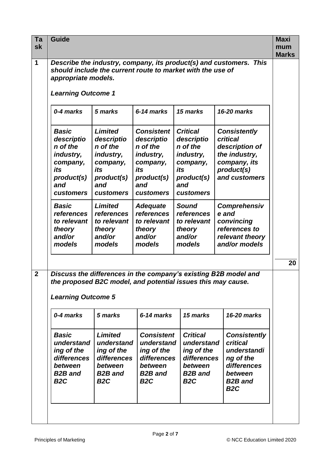| Ta<br>sk       | <b>Guide</b><br><b>Maxi</b><br>mum<br><b>Marks</b>                                                                                                                                                                            |                                                                                                                   |                                                                                                                      |                                                                                                             |                                                                                                                                    |  |  |
|----------------|-------------------------------------------------------------------------------------------------------------------------------------------------------------------------------------------------------------------------------|-------------------------------------------------------------------------------------------------------------------|----------------------------------------------------------------------------------------------------------------------|-------------------------------------------------------------------------------------------------------------|------------------------------------------------------------------------------------------------------------------------------------|--|--|
| 1              | Describe the industry, company, its product(s) and customers. This<br>should include the current route to market with the use of<br>appropriate models.<br><b>Learning Outcome 1</b>                                          |                                                                                                                   |                                                                                                                      |                                                                                                             |                                                                                                                                    |  |  |
|                | 0-4 marks<br>5 marks<br>6-14 marks<br>15 marks<br>16-20 marks                                                                                                                                                                 |                                                                                                                   |                                                                                                                      |                                                                                                             |                                                                                                                                    |  |  |
|                | <b>Basic</b><br>descriptio<br>n of the<br>industry,<br>company,<br>its<br>product(s)<br>and<br><b>customers</b>                                                                                                               | <b>Limited</b><br>descriptio<br>n of the<br>industry,<br>company,<br>its<br>product(s)<br>and<br><b>customers</b> | <b>Consistent</b><br>descriptio<br>n of the<br>industry,<br>company,<br>its<br>product(s)<br>and<br><b>customers</b> | <b>Critical</b><br>descriptio<br>n of the<br>industry,<br>company,<br>its<br>product(s)<br>and<br>customers | <b>Consistently</b><br><b>critical</b><br>description of<br>the industry,<br>company, its<br>product(s)<br>and customers           |  |  |
|                | <b>Basic</b><br>references<br>to relevant<br>theory<br>and/or<br>models                                                                                                                                                       | Limited<br>references<br>to relevant<br>theory<br>and/or<br>models                                                | <b>Adequate</b><br>references<br>to relevant<br>theory<br>and/or<br>models                                           | <b>Sound</b><br>references<br>to relevant<br>theory<br>and/or<br>models                                     | Comprehensiv<br>e and<br>convincing<br>references to<br>relevant theory<br>and/or models                                           |  |  |
|                |                                                                                                                                                                                                                               |                                                                                                                   |                                                                                                                      |                                                                                                             |                                                                                                                                    |  |  |
| $\overline{2}$ | Discuss the differences in the company's existing B2B model and<br>the proposed B2C model, and potential issues this may cause.<br><b>Learning Outcome 5</b><br>0-4 marks<br>5 marks<br>6-14 marks<br>15 marks<br>16-20 marks |                                                                                                                   |                                                                                                                      |                                                                                                             |                                                                                                                                    |  |  |
|                | <b>Basic</b><br>understand<br>ing of the<br>differences<br>between<br><b>B2B</b> and<br>B <sub>2</sub> C                                                                                                                      | <b>Limited</b><br>understand<br>ing of the<br>differences<br>between<br><b>B2B</b> and<br>B <sub>2</sub> C        | <b>Consistent</b><br>understand<br>ing of the<br>differences<br>between<br><b>B2B</b> and<br>B <sub>2</sub> C        | <b>Critical</b><br>understand<br>ing of the<br>differences<br>between<br><b>B2B</b> and<br>B <sub>2</sub> C | <b>Consistently</b><br><b>critical</b><br>understandi<br>ng of the<br>differences<br>between<br><b>B2B</b> and<br>B <sub>2</sub> C |  |  |
|                |                                                                                                                                                                                                                               |                                                                                                                   |                                                                                                                      |                                                                                                             |                                                                                                                                    |  |  |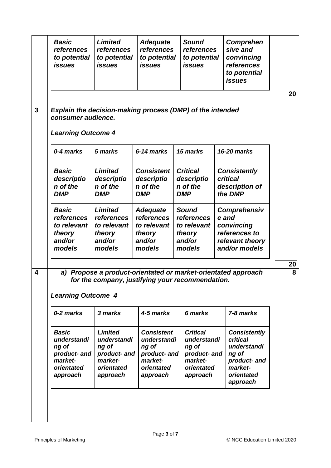|                         | <b>Basic</b><br>references<br>to potential<br><i><b>issues</b></i>                        | <b>Limited</b><br>references<br>to potential<br><i>issues</i>                                                  | <b>Adequate</b><br>references<br>to potential<br><i>issues</i>                                 | <b>Sound</b><br>references<br>to potential<br><i>issues</i>                                  | Comprehen<br>sive and<br>convincing<br>references<br>to potential<br>issues                                  |         |
|-------------------------|-------------------------------------------------------------------------------------------|----------------------------------------------------------------------------------------------------------------|------------------------------------------------------------------------------------------------|----------------------------------------------------------------------------------------------|--------------------------------------------------------------------------------------------------------------|---------|
| $\mathbf{3}$            | Explain the decision-making process (DMP) of the intended<br>consumer audience.           |                                                                                                                |                                                                                                |                                                                                              |                                                                                                              | 20      |
|                         | <b>Learning Outcome 4</b>                                                                 |                                                                                                                |                                                                                                |                                                                                              |                                                                                                              |         |
|                         | 0-4 marks                                                                                 | 5 marks                                                                                                        | 6-14 marks                                                                                     | 15 marks                                                                                     | 16-20 marks                                                                                                  |         |
|                         | <b>Basic</b><br>descriptio<br>n of the<br><b>DMP</b>                                      | <b>Limited</b><br>descriptio<br>n of the<br><b>DMP</b>                                                         | <b>Consistent</b><br>descriptio<br>n of the<br><b>DMP</b>                                      | <b>Critical</b><br>descriptio<br>n of the<br><b>DMP</b>                                      | <b>Consistently</b><br><b>critical</b><br>description of<br>the DMP                                          |         |
|                         | <b>Basic</b><br>references<br>to relevant<br>theory<br>and/or<br>models                   | <b>Limited</b><br>references<br>to relevant<br>theory<br>and/or<br>models                                      | <b>Adequate</b><br>references<br>to relevant<br>theory<br>and/or<br>models                     | <b>Sound</b><br>references<br>to relevant<br>theory<br>and/or<br>models                      | Comprehensiv<br>e and<br>convincing<br>references to<br>relevant theory<br>and/or models                     |         |
| $\overline{\mathbf{4}}$ | a)<br><b>Learning Outcome 4</b>                                                           | Propose a product-orientated or market-orientated approach<br>for the company, justifying your recommendation. |                                                                                                |                                                                                              |                                                                                                              | 20<br>8 |
|                         | 0-2 marks                                                                                 | 3 marks                                                                                                        | 4-5 marks                                                                                      | 6 marks                                                                                      | 7-8 marks                                                                                                    |         |
|                         | <b>Basic</b><br>understandi<br>ng of<br>product- and<br>market-<br>orientated<br>approach | <b>Limited</b><br>understandi<br>ng of<br>product- and<br>market-<br>orientated<br>approach                    | <b>Consistent</b><br>understandi<br>ng of<br>product- and<br>market-<br>orientated<br>approach | <b>Critical</b><br>understandi<br>ng of<br>product- and<br>market-<br>orientated<br>approach | <b>Consistently</b><br>critical<br>understandi<br>ng of<br>product- and<br>market-<br>orientated<br>approach |         |
|                         |                                                                                           |                                                                                                                |                                                                                                |                                                                                              |                                                                                                              |         |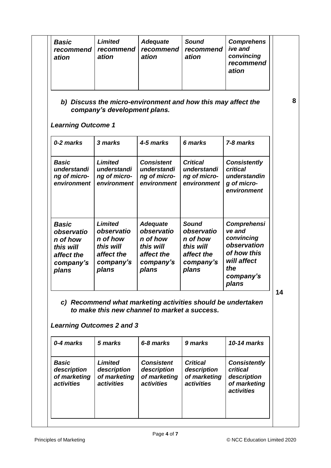| <b>Basic</b><br>recommend<br>ation                                                      | <b>Limited</b><br>recommend<br>ation                                                      | <b>Adequate</b><br>recommend<br>ation                                                                        | <b>Sound</b><br>recommend<br>ation                                                      | <b>Comprehens</b><br>ive and<br>convincing<br>recommend<br>ation                                                     |
|-----------------------------------------------------------------------------------------|-------------------------------------------------------------------------------------------|--------------------------------------------------------------------------------------------------------------|-----------------------------------------------------------------------------------------|----------------------------------------------------------------------------------------------------------------------|
| <b>Learning Outcome 1</b>                                                               | company's development plans.                                                              | b) Discuss the micro-environment and how this may affect the                                                 |                                                                                         |                                                                                                                      |
| 0-2 marks                                                                               | 3 marks                                                                                   | 4-5 marks                                                                                                    | 6 marks                                                                                 | 7-8 marks                                                                                                            |
| <b>Basic</b><br>understandi<br>ng of micro-<br>environment                              | <b>Limited</b><br>understandi<br>ng of micro-<br>environment                              | <b>Consistent</b><br>understandi<br>ng of micro-<br>environment                                              | <b>Critical</b><br>understandi<br>ng of micro-<br>environment                           | <b>Consistently</b><br>critical<br>understandin<br>g of micro-<br>environment                                        |
| <b>Basic</b><br>observatio<br>n of how<br>this will<br>affect the<br>company's<br>plans | <b>Limited</b><br>observatio<br>n of how<br>this will<br>affect the<br>company's<br>plans | <b>Adequate</b><br>observatio<br>n of how<br>this will<br>affect the<br>company's<br>plans                   | <b>Sound</b><br>observatio<br>n of how<br>this will<br>affect the<br>company's<br>plans | <b>Comprehensi</b><br>ve and<br>convincing<br>observation<br>of how this<br>will affect<br>the<br>company's<br>plans |
|                                                                                         | <b>Learning Outcomes 2 and 3</b>                                                          | c) Recommend what marketing activities should be undertaken<br>to make this new channel to market a success. |                                                                                         |                                                                                                                      |
| 0-4 marks                                                                               | 5 marks                                                                                   | 6-8 marks                                                                                                    | 9 marks                                                                                 | 10-14 marks                                                                                                          |
| <b>Basic</b>                                                                            | Limited<br>description                                                                    | <b>Consistent</b><br>description                                                                             | <b>Critical</b><br>description                                                          | <b>Consistently</b><br>critical                                                                                      |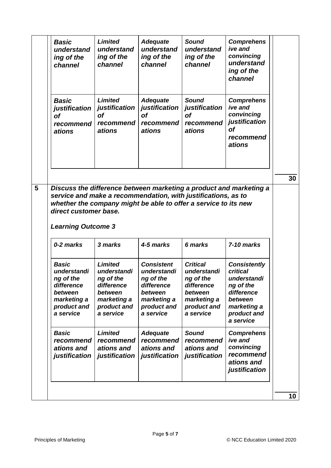| <b>Basic</b><br>understand<br>ing of the<br>channel                                                                                                                                                    | <b>Limited</b><br>understand<br>ing of the<br>channel                                                          | <b>Adequate</b><br>understand<br>ing of the<br>channel                                                            | <b>Sound</b><br>understand<br>ing of the<br>channel                                                             | <b>Comprehens</b><br>ive and<br>convincing<br>understand<br>ing of the<br>channel                                               |
|--------------------------------------------------------------------------------------------------------------------------------------------------------------------------------------------------------|----------------------------------------------------------------------------------------------------------------|-------------------------------------------------------------------------------------------------------------------|-----------------------------------------------------------------------------------------------------------------|---------------------------------------------------------------------------------------------------------------------------------|
| <b>Basic</b><br>justification<br><b>of</b><br>recommend<br>ations                                                                                                                                      | <b>Limited</b><br>justification<br>Οf<br>recommend<br>ations                                                   | <b>Adequate</b><br>justification<br><b>of</b><br>recommend<br>ations                                              | <b>Sound</b><br>justification<br><b>of</b><br>recommend<br>ations                                               | <b>Comprehens</b><br>ive and<br>convincing<br>justification<br><b>of</b><br>recommend<br>ations                                 |
|                                                                                                                                                                                                        |                                                                                                                |                                                                                                                   |                                                                                                                 |                                                                                                                                 |
| Discuss the difference between marketing a product and marketing a<br>service and make a recommendation, with justifications, as to<br>whether the company might be able to offer a service to its new |                                                                                                                |                                                                                                                   |                                                                                                                 |                                                                                                                                 |
| direct customer base.<br><b>Learning Outcome 3</b><br>0-2 marks                                                                                                                                        | 3 marks                                                                                                        | 4-5 marks                                                                                                         | 6 marks                                                                                                         | 7-10 marks                                                                                                                      |
| <b>Basic</b><br>understandi<br>ng of the<br>difference<br>between<br>marketing a<br>product and<br>a service                                                                                           | <b>Limited</b><br>understandi<br>ng of the<br>difference<br>between<br>marketing a<br>product and<br>a service | <b>Consistent</b><br>understandi<br>ng of the<br>difference<br>between<br>marketing a<br>product and<br>a service | <b>Critical</b><br>understandi<br>ng of the<br>difference<br>between<br>marketing a<br>product and<br>a service | <b>Consistently</b><br>critical<br>understandi<br>ng of the<br>difference<br>between<br>marketing a<br>product and<br>a service |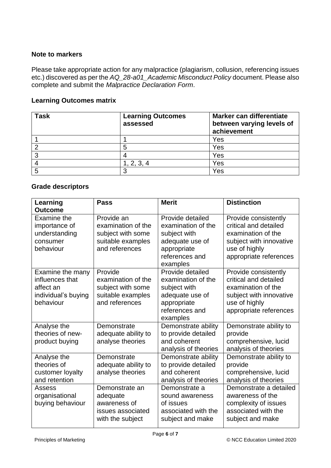#### **Note to markers**

Please take appropriate action for any malpractice (plagiarism, collusion, referencing issues etc.) discovered as per the *AQ\_28-a01\_Academic Misconduct Policy* document. Please also complete and submit the *Malpractice Declaration Form*.

#### **Learning Outcomes matrix**

| <b>Task</b> | <b>Learning Outcomes</b><br>assessed | Marker can differentiate<br>between varying levels of<br>achievement |
|-------------|--------------------------------------|----------------------------------------------------------------------|
|             |                                      | Yes                                                                  |
|             | 5                                    | Yes                                                                  |
| ລ           |                                      | Yes                                                                  |
|             | , 2, 3, 4                            | Yes                                                                  |
|             | n                                    | Yes                                                                  |

### **Grade descriptors**

| Learning<br><b>Outcome</b>                                                           | <b>Pass</b>                                                                                  | <b>Merit</b>                                                                                                           | <b>Distinction</b>                                                                                                                        |
|--------------------------------------------------------------------------------------|----------------------------------------------------------------------------------------------|------------------------------------------------------------------------------------------------------------------------|-------------------------------------------------------------------------------------------------------------------------------------------|
| <b>Examine the</b><br>importance of<br>understanding<br>consumer<br>behaviour        | Provide an<br>examination of the<br>subject with some<br>suitable examples<br>and references | Provide detailed<br>examination of the<br>subject with<br>adequate use of<br>appropriate<br>references and<br>examples | Provide consistently<br>critical and detailed<br>examination of the<br>subject with innovative<br>use of highly<br>appropriate references |
| Examine the many<br>influences that<br>affect an<br>individual's buying<br>behaviour | Provide<br>examination of the<br>subject with some<br>suitable examples<br>and references    | Provide detailed<br>examination of the<br>subject with<br>adequate use of<br>appropriate<br>references and<br>examples | Provide consistently<br>critical and detailed<br>examination of the<br>subject with innovative<br>use of highly<br>appropriate references |
| Analyse the<br>theories of new-<br>product buying                                    | Demonstrate<br>adequate ability to<br>analyse theories                                       | Demonstrate ability<br>to provide detailed<br>and coherent<br>analysis of theories                                     | Demonstrate ability to<br>provide<br>comprehensive, lucid<br>analysis of theories                                                         |
| Analyse the<br>theories of<br>customer loyalty<br>and retention                      | Demonstrate<br>adequate ability to<br>analyse theories                                       | Demonstrate ability<br>to provide detailed<br>and coherent<br>analysis of theories                                     | Demonstrate ability to<br>provide<br>comprehensive, lucid<br>analysis of theories                                                         |
| Assess<br>organisational<br>buying behaviour                                         | Demonstrate an<br>adequate<br>awareness of<br>issues associated<br>with the subject          | Demonstrate a<br>sound awareness<br>of issues<br>associated with the<br>subject and make                               | Demonstrate a detailed<br>awareness of the<br>complexity of issues<br>associated with the<br>subject and make                             |